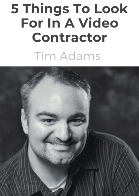# 5 Things To Look **For In A Video** Contractor **Tim Adams**

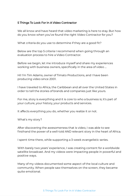We all know and have heard that video marketing is here to stay. But how do you know when you've found the right Video Contractor for you?

What criteria do you use to determine if they are a good fit?

Below are the top 5 criteria I recommend when going through an evaluation process to hire a Video Contractor.

Before we begin, let me introduce myself and share my experiences working with business owners, specifically in the area of video ...

Hi! I'm Tim Adams, owner of Timato Productions, and I have been producing video since 2001.

I have traveled to Africa, the Caribbean and all over the United States in order to tell the stories of brands and companies just like yours.

For me, story is everything and it is core to who a business is; it's part of your culture, your history, your products and services.

It affects everything you do, whether you realize it or not.

What's my story?

After discovering the awesomeness that is video, I was able to see firsthand the power of a well-told AND relevant story in the heart of Africa.

I spent time there, while supporting a 3-week evangelistic series.

With barely two years' experience, I was creating content for a worldwide satellite broadcast. And my videos were impacting people in powerful and positive ways.

Many of my videos documented some aspect of the local culture and community. When people saw themselves on the screen, they became quite emotional.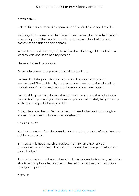It was here …

... that I first encountered the power of video. And it changed my life.

You've got to understand that I wasn't really sure what I wanted to do for a career up until this trip. Sure, making videos was fun, but I wasn't committed to this as a career path.

When I returned from my trip to Africa, that all changed. I enrolled in a local college and soon had my degree.

I haven't looked back since.

Once I discovered the power of visual storytelling …

I wanted to bring it to the business world because I see stories everywhere! The problem is, business owners are not trained in telling their stories. Oftentimes, they don't even know where to start.

I wrote this guide to help you, the business owner, hire the right video contractor for you and your business so you can ultimately tell your story in the most impactful way possible.

Enjoy! Here, are the top 5 criteria I recommend when going through an evaluation process to hire a Video Contractor:

## 1. EXPERIENCE

Business owners often don't understand the importance of experience in a video contractor.

Enthusiasm is not a match or replacement for an experienced professional who knows what can, and cannot, be done-particularly for a given budget.

Enthusiasm does not know where the limits are. And while they might be able to accomplish what you want; their efforts will likely not result in a quality end product.

#### 2. STYLE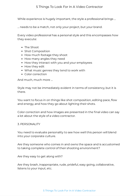While experience is hugely important, the style a professional brings …

… needs to be a match, not only your project, but your brand.

Every video professional has a personal style and this encompasses how they execute:

- The Shoot
- Shot Composition
- How much footage they shoot
- How many angles they need
- How they interact with you and your employees
- How they edit
- What music genres they tend to work with
- Color correction

And much, much more …

Style may not be immediately evident in terms of consistency, but it is there.

You want to focus in on things like shot composition, editing pace, flow and energy, and how they go about lighting their shots.

Color correction and how images are presented in the final video can say a lot about the style of a video contractor.

#### 3. PERSONALITY

You need to evaluate personality to see how well this person will blend into your corporate culture.

Are they someone who comes in and owns the space and is accustomed to taking complete control of their shooting environment?

Are they easy to get along with?

Are they brash, inappropriate, rude, prideful, easy going, collaborative, listens to your input, etc.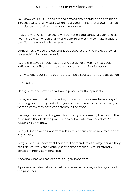You know your culture and a video professional should be able to blend into that culture fairly easily when it's a good fit and that allows them to exercise their creativity in a more natural way.

If it's the wrong fit, then there will be friction and stress for everyone as you have a clash of personality and culture and trying to make a square peg fit into a round hole never ends well.

Sometimes, a video professional is so desperate for the project they will say anything in order to get it.

As the client, you should have your radar up for anything that could indicate a poor fit and at the very least, bring it up for discussion.

If only to get it out in the open so it can be discussed to your satisfaction.

## 4. PROCESS

Does your video professional have a process for their projects?

It may not seem that important right now, but processes have a way of ensuring consistency, and when you work with a video professional, you want to know they have consistency in their work.

Viewing their past work is great, but often you are seeing the best of the best, but if they lack the processes to deliver what you need, you're wasting your money.

Budget does play an important role in this discussion, as money tends to buy quality.

But you should know what their baseline standard of quality is and if they can't deliver work that visually shows that baseline, I would strongly consider finding someone else.

Knowing what you can expect is hugely important.

A process can also help establish proper expectations, for both you and the producer.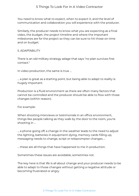You need to know what to expect, when to expect it, and the level of communication and collaboration you will experience with the producer.

Similarly, the producer needs to know what you are expecting as a final video, the budget, the project timeline and where the important milestones are for the project so they can be sure to hit those on time and on budget.

#### 5. ADAPTABILITY

There is an old military strategy adage that says "no plan survives first contact."

In video production, the same is true …

… a plan is great as a starting point, but being able to adapt to reality is hugely important.

Production is a fluid environment as there are often many factors that cannot be controlled and the producer should be able to flow with those changes (within reason).

For example:

When shooting interviews or testimonials in an office environment, things like people talking as they walk by the door to the room, you're shooting in …

… a phone going off, a change in the weather leads to the need to adjust the lighting, batteries in equipment dying, memory cards filling up, messaging needs to change, script or teleprompter changes …

… these are all things that have happened to me in production.

Sometimes these issues are avoidable, sometimes not.

The key here is that life is all about change and your producer needs to be able to adapt to those changes without getting a negative attitude or becoming frustrated or angry.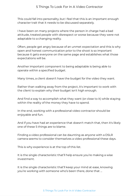This could fall into personality, but I feel that this is an important enough character trait that it needs to be discussed separately.

I have been on many projects where the person in charge had a bad attitude, treated people with disrespect or worse because they were not adaptable to a changing reality.

Often, people get angry because of an unmet expectation and this is why open and honest communication prior to the shoot is so important because it gets everyone on the same page and establishes what those expectations will be.

Another important component to being adaptable is being able to operate within a specified budget.

Many times, a client doesn't have the budget for the video they want.

Rather than walking away from the project, it's important to work with the client to explain why their budget isn't high enough.

And find a way to accomplish what they want (or close to it) while staying within the reality of the money they have to spend.

In the end, working with a professional video contractor should be enjoyable and fun.

And if you have had an experience that doesn't match that, then it's likely one of these 5 things are to blame.

Finding a video professional can be daunting as anyone with a DSLR camera seems to consider themselves a video professional these days.

This is why experience is at the top of this list.

It is the single characteristic that'll help ensure you're making a wise investment.

It is the single characteristic that'll keep your mind at ease, knowing you're working with someone who's been there, done that …